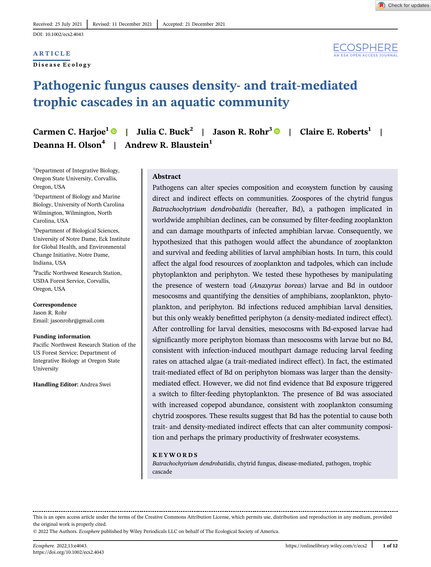## **ARTICLE**

Disease Ecology



# Pathogenic fungus causes density- and trait-mediated trophic cascades in an aquatic community

| Carmen C. Harjoe <sup>1</sup> $\bullet$   Julia C. Buck <sup>2</sup>   Jason R. Rohr <sup>3</sup> $\bullet$   Claire E. Roberts <sup>1</sup> |  |
|----------------------------------------------------------------------------------------------------------------------------------------------|--|
| Deanna H. Olson <sup>4</sup>   Andrew R. Blaustein <sup>1</sup>                                                                              |  |

<sup>1</sup>Department of Integrative Biology, Oregon State University, Corvallis, Oregon, USA

<sup>2</sup>Department of Biology and Marine Biology, University of North Carolina Wilmington, Wilmington, North Carolina, USA

3 Department of Biological Sciences, University of Notre Dame, Eck Institute for Global Health, and Environmental Change Initiative, Notre Dame, Indiana, USA

4 Pacific Northwest Research Station, USDA Forest Service, Corvallis, Oregon, USA

Correspondence Jason R. Rohr Email: [jasonrohr@gmail.com](mailto:jasonrohr@gmail.com)

Funding information Pacific Northwest Research Station of the US Forest Service; Department of Integrative Biology at Oregon State

Handling Editor: Andrea Swei

University

#### Abstract

Pathogens can alter species composition and ecosystem function by causing direct and indirect effects on communities. Zoospores of the chytrid fungus Batrachochytrium dendrobatidis (hereafter, Bd), a pathogen implicated in worldwide amphibian declines, can be consumed by filter-feeding zooplankton and can damage mouthparts of infected amphibian larvae. Consequently, we hypothesized that this pathogen would affect the abundance of zooplankton and survival and feeding abilities of larval amphibian hosts. In turn, this could affect the algal food resources of zooplankton and tadpoles, which can include phytoplankton and periphyton. We tested these hypotheses by manipulating the presence of western toad (Anaxyrus boreas) larvae and Bd in outdoor mesocosms and quantifying the densities of amphibians, zooplankton, phytoplankton, and periphyton. Bd infections reduced amphibian larval densities, but this only weakly benefitted periphyton (a density-mediated indirect effect). After controlling for larval densities, mesocosms with Bd-exposed larvae had significantly more periphyton biomass than mesocosms with larvae but no Bd, consistent with infection-induced mouthpart damage reducing larval feeding rates on attached algae (a trait-mediated indirect effect). In fact, the estimated trait-mediated effect of Bd on periphyton biomass was larger than the densitymediated effect. However, we did not find evidence that Bd exposure triggered a switch to filter-feeding phytoplankton. The presence of Bd was associated with increased copepod abundance, consistent with zooplankton consuming chytrid zoospores. These results suggest that Bd has the potential to cause both trait- and density-mediated indirect effects that can alter community composition and perhaps the primary productivity of freshwater ecosystems.

#### KEYWORDS

Batrachochytrium dendrobatidis, chytrid fungus, disease-mediated, pathogen, trophic cascade

This is an open access article under the terms of the [Creative Commons Attribution](http://creativecommons.org/licenses/by/4.0/) License, which permits use, distribution and reproduction in any medium, provided the original work is properly cited.

© 2022 The Authors. Ecosphere published by Wiley Periodicals LLC on behalf of The Ecological Society of America.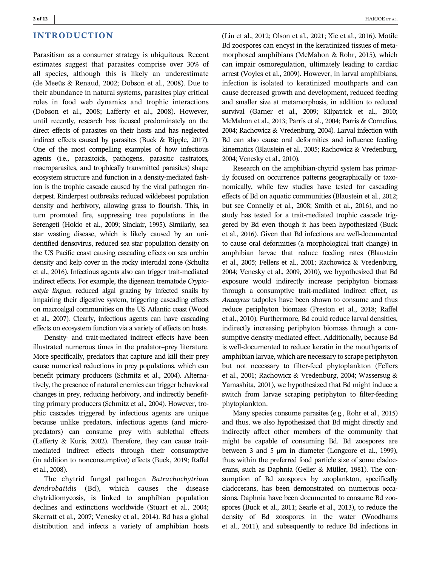## INTRODUCTION

Parasitism as a consumer strategy is ubiquitous. Recent estimates suggest that parasites comprise over 30% of all species, although this is likely an underestimate (de Meeûs & Renaud, 2002; Dobson et al., 2008). Due to their abundance in natural systems, parasites play critical roles in food web dynamics and trophic interactions (Dobson et al., 2008; Lafferty et al., 2008). However, until recently, research has focused predominately on the direct effects of parasites on their hosts and has neglected indirect effects caused by parasites (Buck & Ripple, 2017). One of the most compelling examples of how infectious agents (i.e., parasitoids, pathogens, parasitic castrators, macroparasites, and trophically transmitted parasites) shape ecosystem structure and function in a density-mediated fashion is the trophic cascade caused by the viral pathogen rinderpest. Rinderpest outbreaks reduced wildebeest population density and herbivory, allowing grass to flourish. This, in turn promoted fire, suppressing tree populations in the Serengeti (Holdo et al., 2009; Sinclair, 1995). Similarly, sea star wasting disease, which is likely caused by an unidentified densovirus, reduced sea star population density on the US Pacific coast causing cascading effects on sea urchin density and kelp cover in the rocky intertidal zone (Schultz et al., 2016). Infectious agents also can trigger trait-mediated indirect effects. For example, the digenean trematode Cryptocotyle lingua, reduced algal grazing by infected snails by impairing their digestive system, triggering cascading effects on macroalgal communities on the US Atlantic coast (Wood et al., 2007). Clearly, infectious agents can have cascading effects on ecosystem function via a variety of effects on hosts.

Density- and trait-mediated indirect effects have been illustrated numerous times in the predator–prey literature. More specifically, predators that capture and kill their prey cause numerical reductions in prey populations, which can benefit primary producers (Schmitz et al., 2004). Alternatively, the presence of natural enemies can trigger behavioral changes in prey, reducing herbivory, and indirectly benefitting primary producers (Schmitz et al., 2004). However, trophic cascades triggered by infectious agents are unique because unlike predators, infectious agents (and micropredators) can consume prey with sublethal effects (Lafferty & Kuris, 2002). Therefore, they can cause traitmediated indirect effects through their consumptive (in addition to nonconsumptive) effects (Buck, 2019; Raffel et al., 2008).

The chytrid fungal pathogen Batrachochytrium dendrobatidis (Bd), which causes the disease chytridiomycosis, is linked to amphibian population declines and extinctions worldwide (Stuart et al., 2004; Skerratt et al., 2007; Venesky et al., 2014). Bd has a global distribution and infects a variety of amphibian hosts (Liu et al., 2012; Olson et al., 2021; Xie et al., 2016). Motile Bd zoospores can encyst in the keratinized tissues of metamorphosed amphibians (McMahon & Rohr, 2015), which can impair osmoregulation, ultimately leading to cardiac arrest (Voyles et al., 2009). However, in larval amphibians, infection is isolated to keratinized mouthparts and can cause decreased growth and development, reduced feeding and smaller size at metamorphosis, in addition to reduced survival (Garner et al., 2009; Kilpatrick et al., 2010; McMahon et al., 2013; Parris et al., 2004; Parris & Cornelius, 2004; Rachowicz & Vredenburg, 2004). Larval infection with Bd can also cause oral deformities and influence feeding kinematics (Blaustein et al., 2005; Rachowicz & Vredenburg, 2004; Venesky et al., 2010).

Research on the amphibian-chytrid system has primarily focused on occurrence patterns geographically or taxonomically, while few studies have tested for cascading effects of Bd on aquatic communities (Blaustein et al., 2012; but see Connelly et al., 2008; Smith et al., 2016), and no study has tested for a trait-mediated trophic cascade triggered by Bd even though it has been hypothesized (Buck et al., 2016). Given that Bd infections are well-documented to cause oral deformities (a morphological trait change) in amphibian larvae that reduce feeding rates (Blaustein et al., 2005; Fellers et al., 2001; Rachowicz & Vredenburg, 2004; Venesky et al., 2009, 2010), we hypothesized that Bd exposure would indirectly increase periphyton biomass through a consumptive trait-mediated indirect effect, as Anaxyrus tadpoles have been shown to consume and thus reduce periphyton biomass (Preston et al., 2018; Raffel et al., 2010). Furthermore, Bd could reduce larval densities, indirectly increasing periphyton biomass through a consumptive density-mediated effect. Additionally, because Bd is well-documented to reduce keratin in the mouthparts of amphibian larvae, which are necessary to scrape periphyton but not necessary to filter-feed phytoplankton (Fellers et al., 2001; Rachowicz & Vredenburg, 2004; Wassersug & Yamashita, 2001), we hypothesized that Bd might induce a switch from larvae scraping periphyton to filter-feeding phytoplankton.

Many species consume parasites (e.g., Rohr et al., 2015) and thus, we also hypothesized that Bd might directly and indirectly affect other members of the community that might be capable of consuming Bd. Bd zoospores are between 3 and 5  $\mu$ m in diameter (Longcore et al., 1999), thus within the preferred food particle size of some cladocerans, such as Daphnia (Geller & Müller, 1981). The consumption of Bd zoospores by zooplankton, specifically cladocerans, has been demonstrated on numerous occasions. Daphnia have been documented to consume Bd zoospores (Buck et al., 2011; Searle et al., 2013), to reduce the density of Bd zoospores in the water (Woodhams et al., 2011), and subsequently to reduce Bd infections in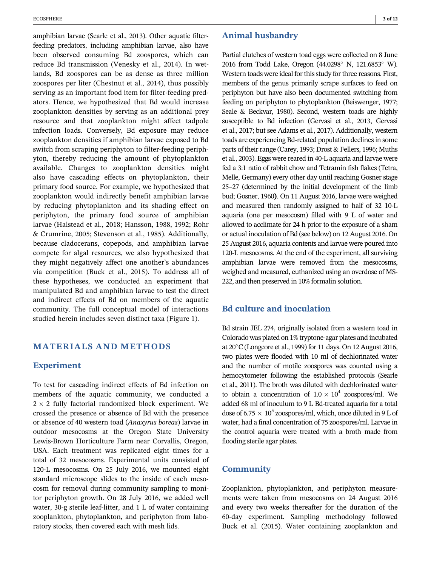amphibian larvae (Searle et al., 2013). Other aquatic filterfeeding predators, including amphibian larvae, also have been observed consuming Bd zoospores, which can reduce Bd transmission (Venesky et al., 2014). In wetlands, Bd zoospores can be as dense as three million zoospores per liter (Chestnut et al., 2014), thus possibly serving as an important food item for filter-feeding predators. Hence, we hypothesized that Bd would increase zooplankton densities by serving as an additional prey resource and that zooplankton might affect tadpole infection loads. Conversely, Bd exposure may reduce zooplankton densities if amphibian larvae exposed to Bd switch from scraping periphyton to filter-feeding periphyton, thereby reducing the amount of phytoplankton available. Changes to zooplankton densities might also have cascading effects on phytoplankton, their primary food source. For example, we hypothesized that zooplankton would indirectly benefit amphibian larvae by reducing phytoplankton and its shading effect on periphyton, the primary food source of amphibian larvae (Halstead et al., 2018; Hansson, 1988, 1992; Rohr & Crumrine, 2005; Stevenson et al., 1985). Additionally, because cladocerans, copepods, and amphibian larvae compete for algal resources, we also hypothesized that they might negatively affect one another's abundances via competition (Buck et al., 2015). To address all of these hypotheses, we conducted an experiment that manipulated Bd and amphibian larvae to test the direct and indirect effects of Bd on members of the aquatic community. The full conceptual model of interactions studied herein includes seven distinct taxa (Figure 1).

# MATERIALS AND METHODS

## Experiment

To test for cascading indirect effects of Bd infection on members of the aquatic community, we conducted a  $2 \times 2$  fully factorial randomized block experiment. We crossed the presence or absence of Bd with the presence or absence of 40 western toad (Anaxyrus boreas) larvae in outdoor mesocosms at the Oregon State University Lewis-Brown Horticulture Farm near Corvallis, Oregon, USA. Each treatment was replicated eight times for a total of 32 mesocosms. Experimental units consisted of 120-L mesocosms. On 25 July 2016, we mounted eight standard microscope slides to the inside of each mesocosm for removal during community sampling to monitor periphyton growth. On 28 July 2016, we added well water, 30-g sterile leaf-litter, and 1 L of water containing zooplankton, phytoplankton, and periphyton from laboratory stocks, then covered each with mesh lids.

## Animal husbandry

Partial clutches of western toad eggs were collected on 8 June 2016 from Todd Lake, Oregon (44.0298° N, 121.6853° W). Western toads were ideal for this study for three reasons. First, members of the genus primarily scrape surfaces to feed on periphyton but have also been documented switching from feeding on periphyton to phytoplankton (Beiswenger, 1977; Seale & Beckvar, 1980). Second, western toads are highly susceptible to Bd infection (Gervasi et al., 2013, Gervasi et al., 2017; but see Adams et al., 2017). Additionally, western toads are experiencing Bd-related population declines in some parts of their range (Carey, 1993; Drost & Fellers, 1996; Muths et al., 2003). Eggs were reared in 40-L aquaria and larvae were fed a 3:1 ratio of rabbit chow and Tetramin fish flakes (Tetra, Melle, Germany) every other day until reaching Gosner stage 25–27 (determined by the initial development of the limb bud; Gosner, 1960). On 11 August 2016, larvae were weighed and measured then randomly assigned to half of 32 10-L aquaria (one per mesocosm) filled with 9 L of water and allowed to acclimate for 24 h prior to the exposure of a sham or actual inoculation of Bd (see below) on 12 August 2016. On 25 August 2016, aquaria contents and larvae were poured into 120-L mesocosms. At the end of the experiment, all surviving amphibian larvae were removed from the mesocosms, weighed and measured, euthanized using an overdose of MS-222, and then preserved in 10% formalin solution.

# Bd culture and inoculation

Bd strain JEL 274, originally isolated from a western toad in Colorado was plated on 1% tryptone-agar plates and incubated at  $20^{\circ}$ C (Longcore et al., 1999) for 11 days. On 12 August 2016, two plates were flooded with 10 ml of dechlorinated water and the number of motile zoospores was counted using a hemocytometer following the established protocols (Searle et al., 2011). The broth was diluted with dechlorinated water to obtain a concentration of  $1.0 \times 10^4$  zoospores/ml. We added 68 ml of inoculum to 9 L Bd-treated aquaria for a total dose of 6.75  $\times$  10<sup>5</sup> zoospores/ml, which, once diluted in 9 L of water, had a final concentration of 75 zoospores/ml. Larvae in the control aquaria were treated with a broth made from flooding sterile agar plates.

## **Community**

Zooplankton, phytoplankton, and periphyton measurements were taken from mesocosms on 24 August 2016 and every two weeks thereafter for the duration of the 60-day experiment. Sampling methodology followed Buck et al. (2015). Water containing zooplankton and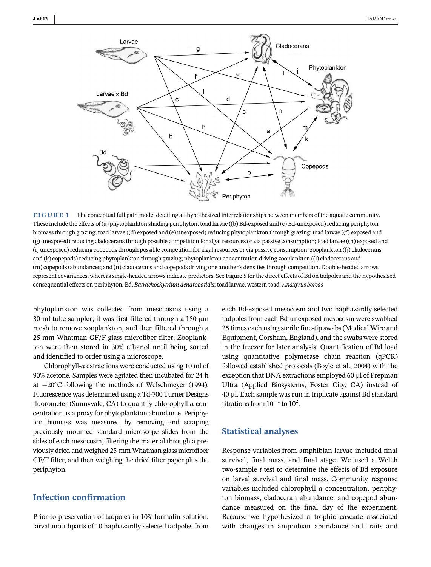

FIGURE 1 The conceptual full path model detailing all hypothesized interrelationships between members of the aquatic community. These include the effects of (a) phytoplankton shading periphyton; toad larvae ((b) Bd-exposed and (c) Bd-unexposed) reducing periphyton biomass through grazing; toad larvae ((d) exposed and (e) unexposed) reducing phytoplankton through grazing; toad larvae ((f) exposed and (g) unexposed) reducing cladocerans through possible competition for algal resources or via passive consumption; toad larvae ((h) exposed and (i) unexposed) reducing copepods through possible competition for algal resources or via passive consumption; zooplankton ((j) cladocerans and (k) copepods) reducing phytoplankton through grazing; phytoplankton concentration driving zooplankton ((l) cladocerans and (m) copepods) abundances; and (n) cladocerans and copepods driving one another's densities through competition. Double-headed arrows represent covariances, whereas single-headed arrows indicate predictors. See Figure 5 for the direct effects of Bd on tadpoles and the hypothesized consequential effects on periphyton. Bd, Batrachochytrium dendrobatidis; toad larvae, western toad, Anaxyrus boreas

phytoplankton was collected from mesocosms using a 30-ml tube sampler; it was first filtered through a 150-μm mesh to remove zooplankton, and then filtered through a 25-mm Whatman GF/F glass microfiber filter. Zooplankton were then stored in 30% ethanol until being sorted and identified to order using a microscope.

Chlorophyll-a extractions were conducted using 10 ml of 90% acetone. Samples were agitated then incubated for 24 h at  $-20^{\circ}$ C following the methods of Welschmeyer (1994). Fluorescence was determined using a Td-700 Turner Designs fluorometer (Sunnyvale, CA) to quantify chlorophyll-a concentration as a proxy for phytoplankton abundance. Periphyton biomass was measured by removing and scraping previously mounted standard microscope slides from the sides of each mesocosm, filtering the material through a previously dried and weighed 25-mm Whatman glass microfiber GF/F filter, and then weighing the dried filter paper plus the periphyton.

# Infection confirmation

Prior to preservation of tadpoles in 10% formalin solution, larval mouthparts of 10 haphazardly selected tadpoles from

each Bd-exposed mesocosm and two haphazardly selected tadpoles from each Bd-unexposed mesocosm were swabbed 25 times each using sterile fine-tip swabs (Medical Wire and Equipment, Corsham, England), and the swabs were stored in the freezer for later analysis. Quantification of Bd load using quantitative polymerase chain reaction (qPCR) followed established protocols (Boyle et al., 2004) with the exception that DNA extractions employed 60 μl of Prepman Ultra (Applied Biosystems, Foster City, CA) instead of 40 μl. Each sample was run in triplicate against Bd standard titrations from  $10^{-1}$  to  $10^2$ .

## Statistical analyses

Response variables from amphibian larvae included final survival, final mass, and final stage. We used a Welch two-sample  $t$  test to determine the effects of Bd exposure on larval survival and final mass. Community response variables included chlorophyll a concentration, periphyton biomass, cladoceran abundance, and copepod abundance measured on the final day of the experiment. Because we hypothesized a trophic cascade associated with changes in amphibian abundance and traits and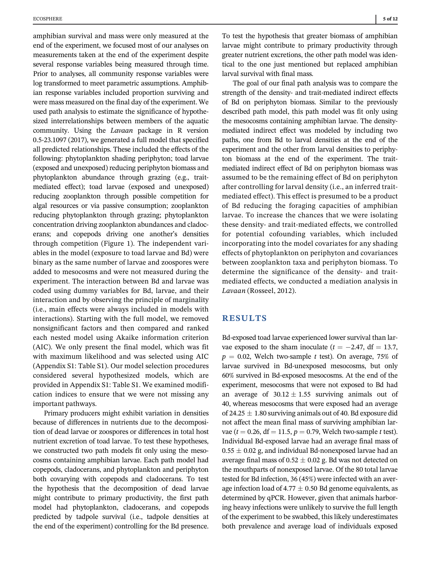amphibian survival and mass were only measured at the end of the experiment, we focused most of our analyses on measurements taken at the end of the experiment despite several response variables being measured through time. Prior to analyses, all community response variables were log transformed to meet parametric assumptions. Amphibian response variables included proportion surviving and were mass measured on the final day of the experiment. We used path analysis to estimate the significance of hypothesized interrelationships between members of the aquatic community. Using the Lavaan package in R version 0.5-23.1097 (2017), we generated a full model that specified all predicted relationships. These included the effects of the following: phytoplankton shading periphyton; toad larvae (exposed and unexposed) reducing periphyton biomass and phytoplankton abundance through grazing (e.g., traitmediated effect); toad larvae (exposed and unexposed) reducing zooplankton through possible competition for algal resources or via passive consumption; zooplankton reducing phytoplankton through grazing; phytoplankton concentration driving zooplankton abundances and cladocerans; and copepods driving one another's densities through competition (Figure 1). The independent variables in the model (exposure to toad larvae and Bd) were binary as the same number of larvae and zoospores were added to mesocosms and were not measured during the experiment. The interaction between Bd and larvae was coded using dummy variables for Bd, larvae, and their interaction and by observing the principle of marginality (i.e., main effects were always included in models with interactions). Starting with the full model, we removed nonsignificant factors and then compared and ranked each nested model using Akaike information criterion (AIC). We only present the final model, which was fit with maximum likelihood and was selected using AIC (Appendix S1: Table S1). Our model selection procedures considered several hypothesized models, which are provided in Appendix S1: Table S1. We examined modification indices to ensure that we were not missing any important pathways.

Primary producers might exhibit variation in densities because of differences in nutrients due to the decomposition of dead larvae or zoospores or differences in total host nutrient excretion of toad larvae. To test these hypotheses, we constructed two path models fit only using the mesocosms containing amphibian larvae. Each path model had copepods, cladocerans, and phytoplankton and periphyton both covarying with copepods and cladocerans. To test the hypothesis that the decomposition of dead larvae might contribute to primary productivity, the first path model had phytoplankton, cladocerans, and copepods predicted by tadpole survival (i.e., tadpole densities at the end of the experiment) controlling for the Bd presence.

To test the hypothesis that greater biomass of amphibian larvae might contribute to primary productivity through greater nutrient excretions, the other path model was identical to the one just mentioned but replaced amphibian larval survival with final mass.

The goal of our final path analysis was to compare the strength of the density- and trait-mediated indirect effects of Bd on periphyton biomass. Similar to the previously described path model, this path model was fit only using the mesocosms containing amphibian larvae. The densitymediated indirect effect was modeled by including two paths, one from Bd to larval densities at the end of the experiment and the other from larval densities to periphyton biomass at the end of the experiment. The traitmediated indirect effect of Bd on periphyton biomass was assumed to be the remaining effect of Bd on periphyton after controlling for larval density (i.e., an inferred traitmediated effect). This effect is presumed to be a product of Bd reducing the foraging capacities of amphibian larvae. To increase the chances that we were isolating these density- and trait-mediated effects, we controlled for potential cofounding variables, which included incorporating into the model covariates for any shading effects of phytoplankton on periphyton and covariances between zooplankton taxa and periphyton biomass. To determine the significance of the density- and traitmediated effects, we conducted a mediation analysis in Lavaan (Rosseel, 2012).

# RESULTS

Bd-exposed toad larvae experienced lower survival than larvae exposed to the sham inoculate ( $t = -2.47$ , df = 13.7,  $p = 0.02$ , Welch two-sample t test). On average, 75% of larvae survived in Bd-unexposed mesocosms, but only 60% survived in Bd-exposed mesocosms. At the end of the experiment, mesocosms that were not exposed to Bd had an average of  $30.12 \pm 1.55$  surviving animals out of 40, whereas mesocosms that were exposed had an average of 24.25  $\pm$  1.80 surviving animals out of 40. Bd exposure did not affect the mean final mass of surviving amphibian larvae ( $t = 0.26$ , df = 11.5,  $p = 0.79$ , Welch two-sample t test). Individual Bd-exposed larvae had an average final mass of  $0.55 \pm 0.02$  g, and individual Bd-nonexposed larvae had an average final mass of  $0.52 \pm 0.02$  g. Bd was not detected on the mouthparts of nonexposed larvae. Of the 80 total larvae tested for Bd infection, 36 (45%) were infected with an average infection load of 4.77  $\pm$  0.50 Bd genome equivalents, as determined by qPCR. However, given that animals harboring heavy infections were unlikely to survive the full length of the experiment to be swabbed, this likely underestimates both prevalence and average load of individuals exposed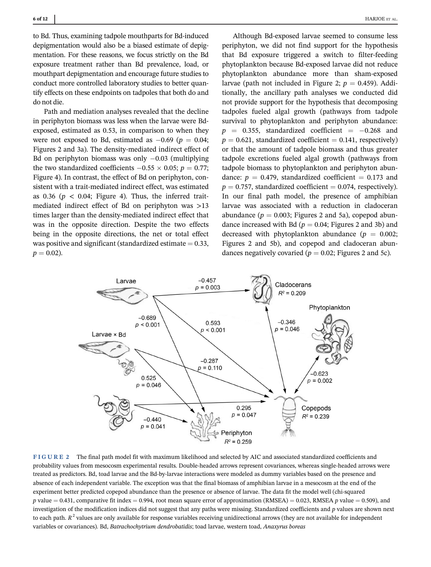to Bd. Thus, examining tadpole mouthparts for Bd-induced depigmentation would also be a biased estimate of depigmentation. For these reasons, we focus strictly on the Bd exposure treatment rather than Bd prevalence, load, or mouthpart depigmentation and encourage future studies to conduct more controlled laboratory studies to better quantify effects on these endpoints on tadpoles that both do and do not die.

Path and mediation analyses revealed that the decline in periphyton biomass was less when the larvae were Bdexposed, estimated as 0.53, in comparison to when they were not exposed to Bd, estimated as  $-0.69$  ( $p = 0.04$ ; Figures 2 and 3a). The density-mediated indirect effect of Bd on periphyton biomass was only  $-0.03$  (multiplying the two standardized coefficients  $-0.55 \times 0.05$ ;  $p = 0.77$ ; Figure 4). In contrast, the effect of Bd on periphyton, consistent with a trait-mediated indirect effect, was estimated as 0.36 ( $p < 0.04$ ; Figure 4). Thus, the inferred traitmediated indirect effect of Bd on periphyton was >13 times larger than the density-mediated indirect effect that was in the opposite direction. Despite the two effects being in the opposite directions, the net or total effect was positive and significant (standardized estimate  $= 0.33$ ,  $p = 0.02$ ).

Although Bd-exposed larvae seemed to consume less periphyton, we did not find support for the hypothesis that Bd exposure triggered a switch to filter-feeding phytoplankton because Bd-exposed larvae did not reduce phytoplankton abundance more than sham-exposed larvae (path not included in Figure 2;  $p = 0.459$ ). Additionally, the ancillary path analyses we conducted did not provide support for the hypothesis that decomposing tadpoles fueled algal growth (pathways from tadpole survival to phytoplankton and periphyton abundance:  $p = 0.355$ , standardized coefficient =  $-0.268$  and  $p = 0.621$ , standardized coefficient = 0.141, respectively) or that the amount of tadpole biomass and thus greater tadpole excretions fueled algal growth (pathways from tadpole biomass to phytoplankton and periphyton abundance:  $p = 0.479$ , standardized coefficient = 0.173 and  $p = 0.757$ , standardized coefficient = 0.074, respectively). In our final path model, the presence of amphibian larvae was associated with a reduction in cladoceran abundance ( $p = 0.003$ ; Figures 2 and 5a), copepod abundance increased with Bd ( $p = 0.04$ ; Figures 2 and 3b) and decreased with phytoplankton abundance ( $p = 0.002$ ; Figures 2 and 5b), and copepod and cladoceran abundances negatively covaried ( $p = 0.02$ ; Figures 2 and 5c).



FIGURE 2 The final path model fit with maximum likelihood and selected by AIC and associated standardized coefficients and probability values from mesocosm experimental results. Double-headed arrows represent covariances, whereas single-headed arrows were treated as predictors. Bd, toad larvae and the Bd-by-larvae interactions were modeled as dummy variables based on the presence and absence of each independent variable. The exception was that the final biomass of amphibian larvae in a mesocosm at the end of the experiment better predicted copepod abundance than the presence or absence of larvae. The data fit the model well (chi-squared p value = 0.431, comparative fit index = 0.994, root mean square error of approximation (RMSEA) = 0.023, RMSEA p value = 0.509), and investigation of the modification indices did not suggest that any paths were missing. Standardized coefficients and p values are shown next to each path.  $R^2$  values are only available for response variables receiving unidirectional arrows (they are not available for independent variables or covariances). Bd, Batrachochytrium dendrobatidis; toad larvae, western toad, Anaxyrus boreas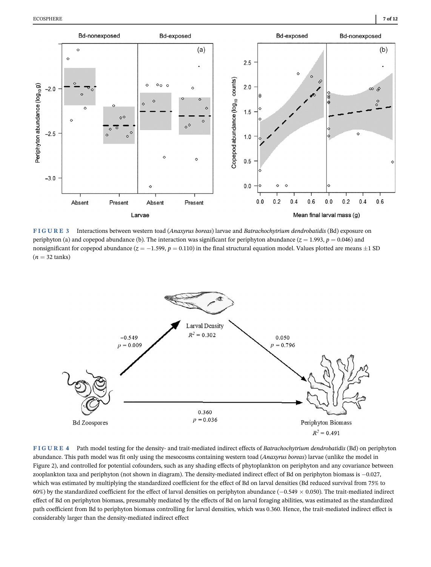

FIGURE 3 Interactions between western toad (Anaxyrus boreas) larvae and Batrachochytrium dendrobatidis (Bd) exposure on periphyton (a) and copepod abundance (b). The interaction was significant for periphyton abundance ( $z = 1.993$ ,  $p = 0.046$ ) and nonsignificant for copepod abundance ( $z = -1.599$ ,  $p = 0.110$ ) in the final structural equation model. Values plotted are means  $\pm 1$  SD  $(n = 32 \text{ tanks})$ 



FIGURE 4 Path model testing for the density- and trait-mediated indirect effects of Batrachochytrium dendrobatidis (Bd) on periphyton abundance. This path model was fit only using the mesocosms containing western toad (Anaxyrus boreas) larvae (unlike the model in Figure 2), and controlled for potential cofounders, such as any shading effects of phytoplankton on periphyton and any covariance between zooplankton taxa and periphyton (not shown in diagram). The density-mediated indirect effect of Bd on periphyton biomass is  $-0.027$ , which was estimated by multiplying the standardized coefficient for the effect of Bd on larval densities (Bd reduced survival from 75% to 60%) by the standardized coefficient for the effect of larval densities on periphyton abundance ( $-0.549 \times 0.050$ ). The trait-mediated indirect effect of Bd on periphyton biomass, presumably mediated by the effects of Bd on larval foraging abilities, was estimated as the standardized path coefficient from Bd to periphyton biomass controlling for larval densities, which was 0.360. Hence, the trait-mediated indirect effect is considerably larger than the density-mediated indirect effect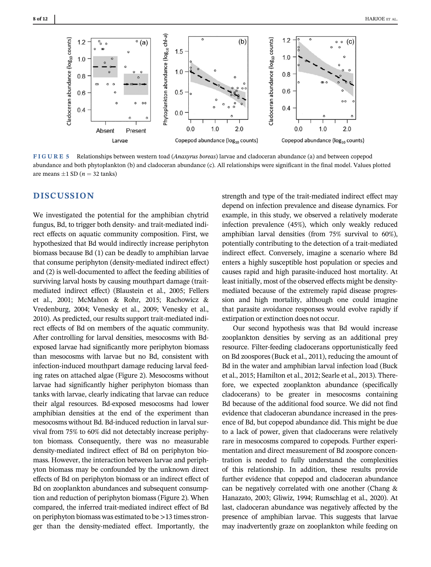

FIGURE 5 Relationships between western toad (Anaxyrus boreas) larvae and cladoceran abundance (a) and between copepod abundance and both phytoplankton (b) and cladoceran abundance (c). All relationships were significant in the final model. Values plotted are means  $\pm 1$  SD ( $n = 32$  tanks)

# **DISCUSSION**

We investigated the potential for the amphibian chytrid fungus, Bd, to trigger both density- and trait-mediated indirect effects on aquatic community composition. First, we hypothesized that Bd would indirectly increase periphyton biomass because Bd (1) can be deadly to amphibian larvae that consume periphyton (density-mediated indirect effect) and (2) is well-documented to affect the feeding abilities of surviving larval hosts by causing mouthpart damage (traitmediated indirect effect) (Blaustein et al., 2005; Fellers et al., 2001; McMahon & Rohr, 2015; Rachowicz & Vredenburg, 2004; Venesky et al., 2009; Venesky et al., 2010). As predicted, our results support trait-mediated indirect effects of Bd on members of the aquatic community. After controlling for larval densities, mesocosms with Bdexposed larvae had significantly more periphyton biomass than mesocosms with larvae but no Bd, consistent with infection-induced mouthpart damage reducing larval feeding rates on attached algae (Figure 2). Mesocosms without larvae had significantly higher periphyton biomass than tanks with larvae, clearly indicating that larvae can reduce their algal resources. Bd-exposed mesocosms had lower amphibian densities at the end of the experiment than mesocosms without Bd. Bd-induced reduction in larval survival from 75% to 60% did not detectably increase periphyton biomass. Consequently, there was no measurable density-mediated indirect effect of Bd on periphyton biomass. However, the interaction between larvae and periphyton biomass may be confounded by the unknown direct effects of Bd on periphyton biomass or an indirect effect of Bd on zooplankton abundances and subsequent consumption and reduction of periphyton biomass (Figure 2). When compared, the inferred trait-mediated indirect effect of Bd on periphyton biomass was estimated to be >13 times stronger than the density-mediated effect. Importantly, the

strength and type of the trait-mediated indirect effect may depend on infection prevalence and disease dynamics. For example, in this study, we observed a relatively moderate infection prevalence (45%), which only weakly reduced amphibian larval densities (from 75% survival to 60%), potentially contributing to the detection of a trait-mediated indirect effect. Conversely, imagine a scenario where Bd enters a highly susceptible host population or species and causes rapid and high parasite-induced host mortality. At least initially, most of the observed effects might be densitymediated because of the extremely rapid disease progression and high mortality, although one could imagine that parasite avoidance responses would evolve rapidly if extirpation or extinction does not occur.

Our second hypothesis was that Bd would increase zooplankton densities by serving as an additional prey resource. Filter-feeding cladocerans opportunistically feed on Bd zoospores (Buck et al., 2011), reducing the amount of Bd in the water and amphibian larval infection load (Buck et al., 2015; Hamilton et al., 2012; Searle et al., 2013). Therefore, we expected zooplankton abundance (specifically cladocerans) to be greater in mesocosms containing Bd because of the additional food source. We did not find evidence that cladoceran abundance increased in the presence of Bd, but copepod abundance did. This might be due to a lack of power, given that cladocerans were relatively rare in mesocosms compared to copepods. Further experimentation and direct measurement of Bd zoospore concentration is needed to fully understand the complexities of this relationship. In addition, these results provide further evidence that copepod and cladoceran abundance can be negatively correlated with one another (Chang & Hanazato, 2003; Gliwiz, 1994; Rumschlag et al., 2020). At last, cladoceran abundance was negatively affected by the presence of amphibian larvae. This suggests that larvae may inadvertently graze on zooplankton while feeding on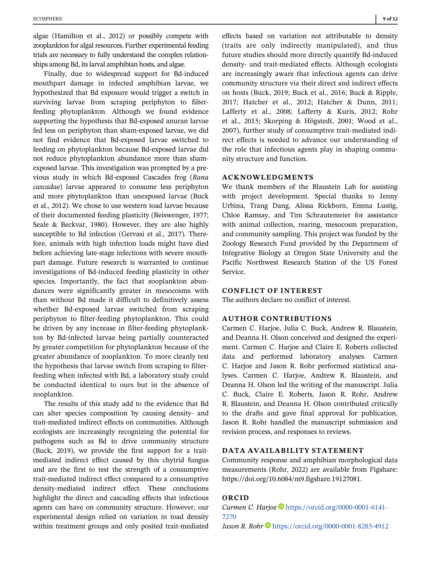algae (Hamilton et al., 2012) or possibly compete with zooplankton for algal resources. Further experimental feeding trials are necessary to fully understand the complex relationships among Bd, its larval amphibian hosts, and algae.

Finally, due to widespread support for Bd-induced mouthpart damage in infected amphibian larvae, we hypothesized that Bd exposure would trigger a switch in surviving larvae from scraping periphyton to filterfeeding phytoplankton. Although we found evidence supporting the hypothesis that Bd-exposed anuran larvae fed less on periphyton than sham-exposed larvae, we did not find evidence that Bd-exposed larvae switched to feeding on phytoplankton because Bd-exposed larvae did not reduce phytoplankton abundance more than shamexposed larvae. This investigation was prompted by a previous study in which Bd-exposed Cascades frog (Rana cascadae) larvae appeared to consume less periphyton and more phytoplankton than unexposed larvae (Buck et al., 2012). We chose to use western toad larvae because of their documented feeding plasticity (Beiswenger, 1977; Seale & Beckvar, 1980). However, they are also highly susceptible to Bd infection (Gervasi et al., 2017). Therefore, animals with high infection loads might have died before achieving late-stage infections with severe mouthpart damage. Future research is warranted to continue investigations of Bd-induced feeding plasticity in other species. Importantly, the fact that zooplankton abundances were significantly greater in mesocosms with than without Bd made it difficult to definitively assess whether Bd-exposed larvae switched from scraping periphyton to filter-feeding phytoplankton. This could be driven by any increase in filter-feeding phytoplankton by Bd-infected larvae being partially counteracted by greater competition for phytoplankton because of the greater abundance of zooplankton. To more cleanly test the hypothesis that larvae switch from scraping to filterfeeding when infected with Bd, a laboratory study could be conducted identical to ours but in the absence of zooplankton.

The results of this study add to the evidence that Bd can alter species composition by causing density- and trait-mediated indirect effects on communities. Although ecologists are increasingly recognizing the potential for pathogens such as Bd to drive community structure (Buck, 2019), we provide the first support for a traitmediated indirect effect caused by this chytrid fungus and are the first to test the strength of a consumptive trait-mediated indirect effect compared to a consumptive density-mediated indirect effect. These conclusions highlight the direct and cascading effects that infectious agents can have on community structure. However, our experimental design relied on variation in toad density within treatment groups and only posited trait-mediated

effects based on variation not attributable to density (traits are only indirectly manipulated), and thus future studies should more directly quantify Bd-induced density- and trait-mediated effects. Although ecologists are increasingly aware that infectious agents can drive community structure via their direct and indirect effects on hosts (Buck, 2019; Buck et al., 2016; Buck & Ripple, 2017; Hatcher et al., 2012; Hatcher & Dunn, 2011; Lafferty et al., 2008; Lafferty & Kuris, 2012; Rohr et al., 2015; Skorping & Högstedt, 2001; Wood et al., 2007), further study of consumptive trait-mediated indirect effects is needed to advance our understanding of the role that infectious agents play in shaping community structure and function.

#### ACKNOWLEDGMENTS

We thank members of the Blaustein Lab for assisting with project development. Special thanks to Jenny Urbina, Trang Dang, Alissa Rickborn, Emma Lustig, Chloe Ramsay, and Tim Schrautemeier for assistance with animal collection, rearing, mesocosm preparation, and community sampling. This project was funded by the Zoology Research Fund provided by the Department of Integrative Biology at Oregon State University and the Pacific Northwest Research Station of the US Forest Service.

## CONFLICT OF INTEREST

The authors declare no conflict of interest.

## AUTHOR CONTRIBUTIONS

Carmen C. Harjoe, Julia C. Buck, Andrew R. Blaustein, and Deanna H. Olson conceived and designed the experiment. Carmen C. Harjoe and Claire E. Roberts collected data and performed laboratory analyses. Carmen C. Harjoe and Jason R. Rohr performed statistical analyses. Carmen C. Harjoe, Andrew R. Blaustein, and Deanna H. Olson led the writing of the manuscript. Julia C. Buck, Claire E. Roberts, Jason R. Rohr, Andrew R. Blaustein, and Deanna H. Olson contributed critically to the drafts and gave final approval for publication. Jason R. Rohr handled the manuscript submission and revision process, and responses to reviews.

#### DATA AVAILABILITY STATEMENT

Community response and amphibian morphological data measurements (Rohr, 2022) are available from Figshare: [https://doi.org/10.6084/m9.figshare.19127081.](https://doi.org/10.6084/m9.figshare.19127081)

#### ORCID

Carmen C. Harjoe [https://orcid.org/0000-0001-6141-](https://orcid.org/0000-0001-6141-7270) [7270](https://orcid.org/0000-0001-6141-7270) Jason R. Rohr D<https://orcid.org/0000-0001-8285-4912>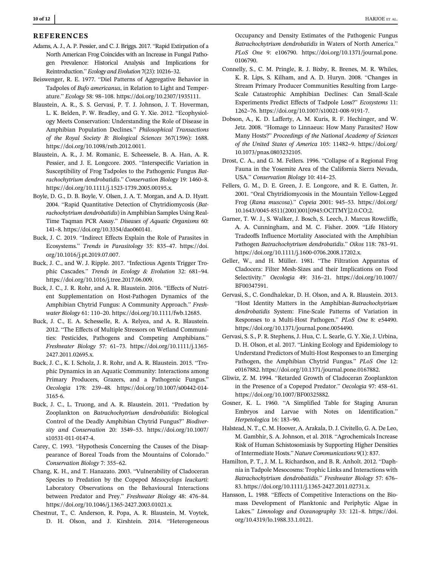#### REFERENCES

- Adams, A. J., A. P. Pessier, and C. J. Briggs. 2017. "Rapid Extirpation of a North American Frog Coincides with an Increase in Fungal Pathogen Prevalence: Historical Analysis and Implications for Reintroduction." Ecology and Evolution 7(23): 10216–32.
- Beiswenger, R. E. 1977. "Diel Patterns of Aggregative Behavior in Tadpoles of Bufo americanus, in Relation to Light and Temperature." Ecology 58: 98–108.<https://doi.org/10.2307/1935111>.
- Blaustein, A. R., S. S. Gervasi, P. T. J. Johnson, J. T. Hoverman, L. K. Belden, P. W. Bradley, and G. Y. Xie. 2012. "Ecophysiology Meets Conservation: Understanding the Role of Disease in Amphibian Population Declines." Philosophical Transactions of the Royal Society B: Biological Sciences 367(1596): 1688. [https://doi.org/10.1098/rstb.2012.0011.](https://doi.org/10.1098/rstb.2012.0011)
- Blaustein, A. R., J. M. Romanic, E. Scheessele, B. A. Han, A. R. Pessier, and J. E. Longcore. 2005. "Interspecific Variation in Susceptibility of Frog Tadpoles to the Pathogenic Fungus Batrachochytrium dendrobatidis." Conservation Biology 19: 1460–8. [https://doi.org/10.1111/j.1523-1739.2005.00195.x.](https://doi.org/10.1111/j.1523-1739.2005.00195.x)
- Boyle, D. G., D. B. Boyle, V. Olsen, J. A. T. Morgan, and A. D. Hyatt. 2004. "Rapid Quantitative Detection of Chytridiomycosis (Batrachochytrium dendrobatidis) in Amphibian Samples Using Real-Time Taqman PCR Assay." Diseases of Aquatic Organisms 60: 141–8.<https://doi.org/10.3354/dao060141>.
- Buck, J. C. 2019. "Indirect Effects Explain the Role of Parasites in Ecosystems." Trends in Parasitology 35: 835–47. [https://doi.](https://doi.org/10.1016/j.pt.2019.07.007) [org/10.1016/j.pt.2019.07.007.](https://doi.org/10.1016/j.pt.2019.07.007)
- Buck, J. C., and W. J. Ripple. 2017. "Infectious Agents Trigger Trophic Cascades." Trends in Ecology & Evolution 32: 681–94. <https://doi.org/10.1016/j.tree.2017.06.009>.
- Buck, J. C., J. R. Rohr, and A. R. Blaustein. 2016. "Effects of Nutrient Supplementation on Host-Pathogen Dynamics of the Amphibian Chytrid Fungus: A Community Approach." Freshwater Biology 61: 110–20. [https://doi.org/10.1111/fwb.12685.](https://doi.org/10.1111/fwb.12685)
- Buck, J. C., E. A. Schesselle, R. A. Relyea, and A. R. Blaustein. 2012. "The Effects of Multiple Stressors on Wetland Communities: Pesticides, Pathogens and Competing Amphibians." Freshwater Biology 57: 61–73. [https://doi.org/10.1111/j.1365-](https://doi.org/10.1111/j.1365-2427.2011.02695.x) [2427.2011.02695.x.](https://doi.org/10.1111/j.1365-2427.2011.02695.x)
- Buck, J. C., K. I. Scholz, J. R. Rohr, and A. R. Blaustein. 2015. "Trophic Dynamics in an Aquatic Community: Interactions among Primary Producers, Grazers, and a Pathogenic Fungus." Oecologia 178: 239–48. [https://doi.org/10.1007/s00442-014-](https://doi.org/10.1007/s00442-014-3165-6) [3165-6](https://doi.org/10.1007/s00442-014-3165-6).
- Buck, J. C., L. Truong, and A. R. Blaustein. 2011. "Predation by Zooplankton on Batrachochytrium dendrobatidis: Biological Control of the Deadly Amphibian Chytrid Fungus?" Biodiversity and Conservation 20: 3549–53. [https://doi.org/10.1007/](https://doi.org/10.1007/s10531-011-0147-4) [s10531-011-0147-4.](https://doi.org/10.1007/s10531-011-0147-4)
- Carey, C. 1993. "Hypothesis Concerning the Causes of the Disappearance of Boreal Toads from the Mountains of Colorado." Conservation Biology 7: 355–62.
- Chang, K. H., and T. Hanazato. 2003. "Vulnerability of Cladoceran Species to Predation by the Copepod Mesocyclops leuckarti: Laboratory Observations on the Behavioural Interactions between Predator and Prey." Freshwater Biology 48: 476–84. [https://doi.org/10.1046/j.1365-2427.2003.01021.x.](https://doi.org/10.1046/j.1365-2427.2003.01021.x)
- Chestnut, T., C. Anderson, R. Popa, A. R. Blaustein, M. Voytek, D. H. Olson, and J. Kirshtein. 2014. "Heterogeneous

Occupancy and Density Estimates of the Pathogenic Fungus Batrachochytrium dendrobatidis in Waters of North America." PLoS One 9: e106790. [https://doi.org/10.1371/journal.pone.](https://doi.org/10.1371/journal.pone.0106790) [0106790.](https://doi.org/10.1371/journal.pone.0106790)

- Connelly, S., C. M. Pringle, R. J. Bixby, R. Brenes, M. R. Whiles, K. R. Lips, S. Kilham, and A. D. Huryn. 2008. "Changes in Stream Primary Producer Communities Resulting from Large-Scale Catastrophic Amphibian Declines: Can Small-Scale Experiments Predict Effects of Tadpole Loss?" Ecosystems 11: 1262–76. [https://doi.org/10.1007/s10021-008-9191-7.](https://doi.org/10.1007/s10021-008-9191-7)
- Dobson, A., K. D. Lafferty, A. M. Kuris, R. F. Hechinger, and W. Jetz. 2008. "Homage to Linnaeus: How Many Parasites? How Many Hosts?" Proceedings of the National Academy of Sciences of the United States of America 105: 11482–9. [https://doi.org/](https://doi.org/10.1073/pnas.0803232105) [10.1073/pnas.0803232105.](https://doi.org/10.1073/pnas.0803232105)
- Drost, C. A., and G. M. Fellers. 1996. "Collapse of a Regional Frog Fauna in the Yosemite Area of the California Sierra Nevada, USA." Conservation Biology 10: 414–25.
- Fellers, G. M., D. E. Green, J. E. Longcore, and R. E. Gatten, Jr. 2001. "Oral Chytridiomycosis in the Mountain Yellow-Legged Frog (Rana muscosa)." Copeia 2001: 945–53. [https://doi.org/](https://doi.org/10.1643/0045-8511(2001)001%5B0945:OCITMY%5D2.0.CO;2) [10.1643/0045-8511\(2001\)001\[0945:OCITMY\]2.0.CO;2.](https://doi.org/10.1643/0045-8511(2001)001%5B0945:OCITMY%5D2.0.CO;2)
- Garner, T. W. J., S. Walker, J. Bosch, S. Leech, J. Marcus Rowcliffe, A. A. Cunningham, and M. C. Fisher. 2009. "Life History Tradeoffs Influence Mortality Associated with the Amphibian Pathogen Batrachochytrium dendrobatidis." Oikos 118: 783–91. [https://doi.org/10.1111/j.1600-0706.2008.17202.x.](https://doi.org/10.1111/j.1600-0706.2008.17202.x)
- Geller, W., and H. Müller. 1981. "The Filtration Apparatus of Cladocera: Filter Mesh-Sizes and their Implications on Food Selectivity." Oecologia 49: 316–21. [https://doi.org/10.1007/](https://doi.org/10.1007/BF00347591) [BF00347591](https://doi.org/10.1007/BF00347591).
- Gervasi, S., C. Gondhalekar, D. H. Olson, and A. R. Blaustein. 2013. "Host Identity Matters in the Amphibian-Batrachochytrium dendrobatidis System: Fine-Scale Patterns of Variation in Responses to a Multi-Host Pathogen." PLoS One 8: e54490. [https://doi.org/10.1371/journal.pone.0054490.](https://doi.org/10.1371/journal.pone.0054490)
- Gervasi, S. S., P. R. Stephens, J. Hua, C. L. Searle, G. Y. Xie, J. Urbina, D. H. Olson, et al. 2017. "Linking Ecology and Epidemiology to Understand Predictors of Multi-Host Responses to an Emerging Pathogen, the Amphibian Chytrid Fungus." PLoS One 12: e0167882.<https://doi.org/10.1371/journal.pone.0167882>.
- Gliwiz, Z. M. 1994. "Retarded Growth of Cladoceran Zooplankton in the Presence of a Copepod Predator." Oecologia 97: 458–61. <https://doi.org/10.1007/BF00325882>.
- Gosner, K. L. 1960. "A Simplified Table for Staging Anuran Embryos and Larvae with Notes on Identification." Herpetologica 16: 183–90.
- Halstead, N. T., C. M. Hoover, A. Arakala, D. J. Civitello, G. A. De Leo, M. Gambhir, S. A. Johnson, et al. 2018. "Agrochemicals Increase Risk of Human Schistosomiasis by Supporting Higher Densities of Intermediate Hosts." Nature Communications 9(1): 837.
- Hamilton, P. T., J. M. L. Richardson, and B. R. Anholt. 2012. "Daphnia in Tadpole Mesocosms: Trophic Links and Interactions with Batrachochytrium dendrobatidis." Freshwater Biology 57: 676– 83. [https://doi.org/10.1111/j.1365-2427.2011.02731.x.](https://doi.org/10.1111/j.1365-2427.2011.02731.x)
- Hansson, L. 1988. "Effects of Competitive Interactions on the Biomass Development of Planktonic and Periphytic Algae in Lakes." Limnology and Oceanography 33: 121–8. [https://doi.](https://doi.org/10.4319/lo.1988.33.1.0121) [org/10.4319/lo.1988.33.1.0121.](https://doi.org/10.4319/lo.1988.33.1.0121)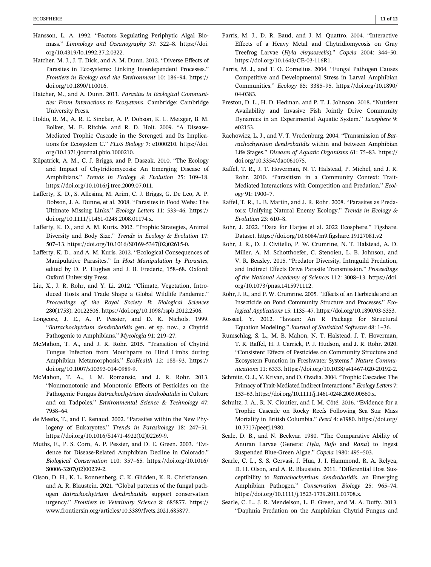- Hansson, L. A. 1992. "Factors Regulating Periphytic Algal Biomass." Limnology and Oceanography 37: 322–8. [https://doi.](https://doi.org/10.4319/lo.1992.37.2.0322) [org/10.4319/lo.1992.37.2.0322](https://doi.org/10.4319/lo.1992.37.2.0322).
- Hatcher, M. J., J. T. Dick, and A. M. Dunn. 2012. "Diverse Effects of Parasites in Ecosystems: Linking Interdependent Processes." Frontiers in Ecology and the Environment 10: 186–94. [https://](https://doi.org/10.1890/110016) [doi.org/10.1890/110016.](https://doi.org/10.1890/110016)
- Hatcher, M., and A. Dunn. 2011. Parasites in Ecological Communities: From Interactions to Ecosystems. Cambridge: Cambridge University Press.
- Holdo, R. M., A. R. E. Sinclair, A. P. Dobson, K. L. Metzger, B. M. Bolker, M. E. Ritchie, and R. D. Holt. 2009. "A Disease-Mediated Trophic Cascade in the Serengeti and Its Implications for Ecosystem C." PLoS Biology 7: e1000210. [https://doi.](https://doi.org/10.1371/journal.pbio.1000210) [org/10.1371/journal.pbio.1000210](https://doi.org/10.1371/journal.pbio.1000210).
- Kilpatrick, A. M., C. J. Briggs, and P. Daszak. 2010. "The Ecology and Impact of Chytridiomycosis: An Emerging Disease of Amphibians." Trends in Ecology & Evolution 25: 109–18. <https://doi.org/10.1016/j.tree.2009.07.011>.
- Lafferty, K. D., S. Allesina, M. Arim, C. J. Briggs, G. De Leo, A. P. Dobson, J. A. Dunne, et al. 2008. "Parasites in Food Webs: The Ultimate Missing Links." Ecology Letters 11: 533–46. [https://](https://doi.org/10.1111/j.1461-0248.2008.01174.x) [doi.org/10.1111/j.1461-0248.2008.01174.x.](https://doi.org/10.1111/j.1461-0248.2008.01174.x)
- Lafferty, K. D., and A. M. Kuris. 2002. "Trophic Strategies, Animal Diversity and Body Size." Trends in Ecology & Evolution 17: 507–13. [https://doi.org/10.1016/S0169-5347\(02\)02615-0.](https://doi.org/10.1016/S0169-5347(02)02615-0)
- Lafferty, K. D., and A. M. Kuris. 2012. "Ecological Consequences of Manipulative Parasites." In Host Manipulation by Parasites, edited by D. P. Hughes and J. B. Frederic, 158–68. Oxford: Oxford University Press.
- Liu, X., J. R. Rohr, and Y. Li. 2012. "Climate, Vegetation, Introduced Hosts and Trade Shape a Global Wildlife Pandemic." Proceedings of the Royal Society B: Biological Sciences 280(1753): 20122506.<https://doi.org/10.1098/rspb.2012.2506>.
- Longcore, J. E., A. P. Pessier, and D. K. Nichols. 1999. "Batrachochytrium dendrobatidis gen. et sp. nov., a Chytrid Pathogenic to Amphibians." Mycologia 91: 219–27.
- McMahon, T. A., and J. R. Rohr. 2015. "Transition of Chytrid Fungus Infection from Mouthparts to Hind Limbs during Amphibian Metamorphosis." EcoHealth 12: 188–93. [https://](https://doi.org/10.1007/s10393-014-0989-9) [doi.org/10.1007/s10393-014-0989-9](https://doi.org/10.1007/s10393-014-0989-9).
- McMahon, T. A., J. M. Romansic, and J. R. Rohr. 2013. "Nonmonotonic and Monotonic Effects of Pesticides on the Pathogenic Fungus Batrachochytrium dendrobatidis in Culture and on Tadpoles." Environmental Science & Technology 47: 7958–64.
- de Meeûs, T., and F. Renaud. 2002. "Parasites within the New Phylogeny of Eukaryotes." Trends in Parasitology 18: 247–51. [https://doi.org/10.1016/S1471-4922\(02\)02269-9.](https://doi.org/10.1016/S1471-4922(02)02269-9)
- Muths, E., P. S. Corn, A. P. Pessier, and D. E. Green. 2003. "Evidence for Disease-Related Amphibian Decline in Colorado." Biological Conservation 110: 357–65. [https://doi.org/10.1016/](https://doi.org/10.1016/S0006-3207(02)00239-2) [S0006-3207\(02\)00239-2](https://doi.org/10.1016/S0006-3207(02)00239-2).
- Olson, D. H., K. L. Ronnenberg, C. K. Glidden, K. R. Christiansen, and A. R. Blaustein. 2021. "Global patterns of the fungal pathogen Batrachochytrium dendrobatidis support conservation urgency." Frontiers in Veterinary Science 8: 685877. [https://](https://doi.org/10.1371/journal.pone.0056802) [www.frontiersin.org/articles/10.3389/fvets.2021.685877](https://doi.org/10.1371/journal.pone.0056802).
- Parris, M. J., D. R. Baud, and J. M. Quattro. 2004. "Interactive Effects of a Heavy Metal and Chytridiomycosis on Gray Treefrog Larvae (Hyla chrysoscelis)." Copeia 2004: 344–50. [https://doi.org/10.1643/CE-03-116R1.](https://doi.org/10.1643/CE-03-116R1)
- Parris, M. J., and T. O. Cornelius. 2004. "Fungal Pathogen Causes Competitive and Developmental Stress in Larval Amphibian Communities." Ecology 85: 3385–95. [https://doi.org/10.1890/](https://doi.org/10.1890/04-0383) [04-0383](https://doi.org/10.1890/04-0383).
- Preston, D. L., H. D. Hedman, and P. T. J. Johnson. 2018. "Nutrient Availability and Invasive Fish Jointly Drive Community Dynamics in an Experimental Aquatic System." Ecosphere 9: e02153.
- Rachowicz, L. J., and V. T. Vredenburg. 2004. "Transmission of Batrachochytrium dendrobatidis within and between Amphibian Life Stages." Diseases of Aquatic Organisms 61: 75–83. [https://](https://doi.org/10.3354/dao061075) [doi.org/10.3354/dao061075](https://doi.org/10.3354/dao061075).
- Raffel, T. R., J. T. Hoverman, N. T. Halstead, P. Michel, and J. R. Rohr. 2010. "Parasitism in a Community Context: Trait-Mediated Interactions with Competition and Predation." Ecology 91: 1900–7.
- Raffel, T. R., L. B. Martin, and J. R. Rohr. 2008. "Parasites as Predators: Unifying Natural Enemy Ecology." Trends in Ecology & Evolution 23: 610–8.
- Rohr, J. 2022. "Data for Harjoe et al. 2022 Ecosphere." Figshare. Dataset.<https://doi.org/10.6084/m9.figshare.19127081.v2>
- Rohr, J. R., D. J. Civitello, P. W. Crumrine, N. T. Halstead, A. D. Miller, A. M. Schotthoefer, C. Stenoien, L. B. Johnson, and V. R. Beasley. 2015. "Predator Diversity, Intraguild Predation, and Indirect Effects Drive Parasite Transmission." Proceedings of the National Academy of Sciences 112: 3008–13. [https://doi.](https://doi.org/10.1073/pnas.1415971112) [org/10.1073/pnas.1415971112](https://doi.org/10.1073/pnas.1415971112).
- Rohr, J. R., and P. W. Crumrine. 2005. "Effects of an Herbicide and an Insecticide on Pond Community Structure and Processes." Ecological Applications 15: 1135–47.<https://doi.org/10.1890/03-5353>.
- Rosseel, Y. 2012. "lavaan: An R Package for Structural Equation Modeling." Journal of Statistical Software 48: 1–36.
- Rumschlag, S. L., M. B. Mahon, N. T. Halstead, J. T. Hoverman, T. R. Raffel, H. J. Carrick, P. J. Hudson, and J. R. Rohr. 2020. "Consistent Effects of Pesticides on Community Structure and Ecosystem Function in Freshwater Systems." Nature Communications 11: 6333. [https://doi.org/10.1038/s41467-020-20192-2.](https://doi.org/10.1038/s41467-020-20192-2)
- Schmitz, O. J., V. Krivan, and O. Ovadia. 2004. "Trophic Cascades: The Primacy of Trait-Mediated Indirect Interactions." Ecology Letters 7: 153–63. [https://doi.org/10.1111/j.1461-0248.2003.00560.x.](https://doi.org/10.1111/j.1461-0248.2003.00560.x)
- Schultz, J. A., R. N. Cloutier, and I. M. Côté. 2016. "Evidence for a Trophic Cascade on Rocky Reefs Following Sea Star Mass Mortality in British Columbia." PeerJ 4: e1980. [https://doi.org/](https://doi.org/10.7717/peerj.1980) [10.7717/peerj.1980.](https://doi.org/10.7717/peerj.1980)
- Seale, D. B., and N. Beckvar. 1980. "The Comparative Ability of Anuran Larvae (Genera: Hyla, Bufo and Rana) to Ingest Suspended Blue-Green Algae." Copeia 1980: 495–503.
- Searle, C. L., S. S. Gervasi, J. Hua, J. I. Hammond, R. A. Relyea, D. H. Olson, and A. R. Blaustein. 2011. "Differential Host Susceptibility to Batrachochytrium dendrobatidis, an Emerging Amphibian Pathogen." Conservation Biology 25: 965–74. [https://doi.org/10.1111/j.1523-1739.2011.01708.x.](https://doi.org/10.1111/j.1523-1739.2011.01708.x)
- Searle, C. L., J. R. Mendelson, L. E. Green, and M. A. Duffy. 2013. "Daphnia Predation on the Amphibian Chytrid Fungus and